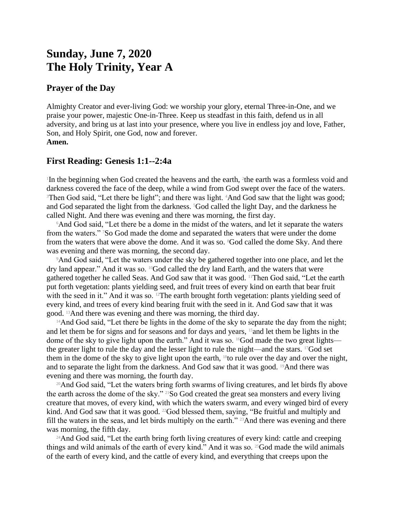# **Sunday, June 7, 2020 The Holy Trinity, Year A**

## **Prayer of the Day**

Almighty Creator and ever-living God: we worship your glory, eternal Three-in-One, and we praise your power, majestic One-in-Three. Keep us steadfast in this faith, defend us in all adversity, and bring us at last into your presence, where you live in endless joy and love, Father, Son, and Holy Spirit, one God, now and forever. **Amen.**

# **First Reading: Genesis 1:1--2:4a**

<sup>1</sup>In the beginning when God created the heavens and the earth, <sup>2</sup>the earth was a formless void and darkness covered the face of the deep, while a wind from God swept over the face of the waters. <sup>3</sup>Then God said, "Let there be light"; and there was light. <sup>4</sup>And God saw that the light was good; and God separated the light from the darkness. <sup>5</sup>God called the light Day, and the darkness he called Night. And there was evening and there was morning, the first day.

<sup>6</sup>And God said, "Let there be a dome in the midst of the waters, and let it separate the waters from the waters." 7So God made the dome and separated the waters that were under the dome from the waters that were above the dome. And it was so. <sup>8</sup>God called the dome Sky. And there was evening and there was morning, the second day.

<sup>9</sup>And God said, "Let the waters under the sky be gathered together into one place, and let the dry land appear." And it was so. 10God called the dry land Earth, and the waters that were gathered together he called Seas. And God saw that it was good. 11Then God said, "Let the earth put forth vegetation: plants yielding seed, and fruit trees of every kind on earth that bear fruit with the seed in it." And it was so. <sup>12</sup>The earth brought forth vegetation: plants yielding seed of every kind, and trees of every kind bearing fruit with the seed in it. And God saw that it was good. 13And there was evening and there was morning, the third day.

<sup>14</sup>And God said, "Let there be lights in the dome of the sky to separate the day from the night; and let them be for signs and for seasons and for days and years, 15and let them be lights in the dome of the sky to give light upon the earth." And it was so. <sup>16</sup>God made the two great lights the greater light to rule the day and the lesser light to rule the night—and the stars. 17God set them in the dome of the sky to give light upon the earth, 18to rule over the day and over the night, and to separate the light from the darkness. And God saw that it was good. 19And there was evening and there was morning, the fourth day.

<sup>20</sup>And God said, "Let the waters bring forth swarms of living creatures, and let birds fly above the earth across the dome of the sky." 21So God created the great sea monsters and every living creature that moves, of every kind, with which the waters swarm, and every winged bird of every kind. And God saw that it was good. <sup>22</sup>God blessed them, saying, "Be fruitful and multiply and fill the waters in the seas, and let birds multiply on the earth." 23And there was evening and there was morning, the fifth day.

<sup>24</sup>And God said, "Let the earth bring forth living creatures of every kind: cattle and creeping things and wild animals of the earth of every kind." And it was so. 25God made the wild animals of the earth of every kind, and the cattle of every kind, and everything that creeps upon the